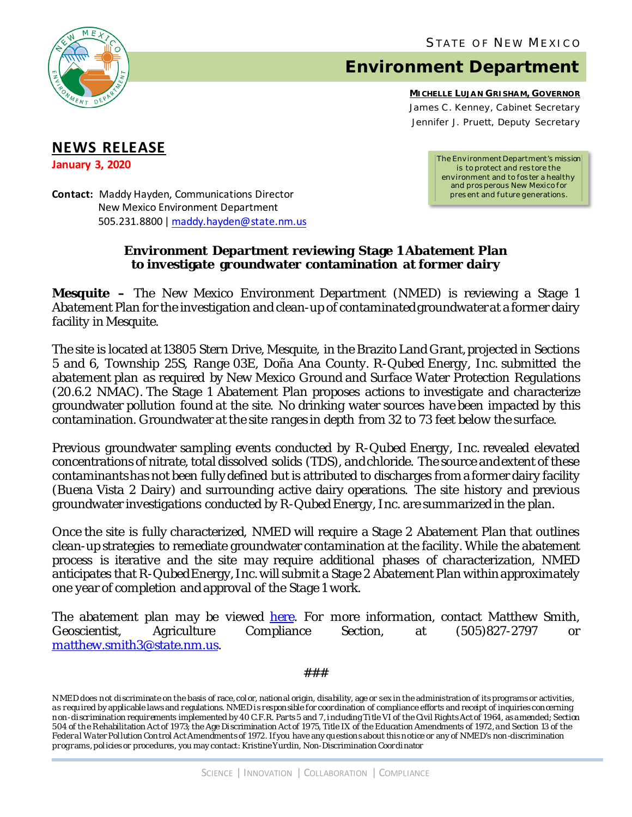

## **Environment Department**

**MICHELLE LUJAN GRISHAM, GOVERNOR** James C . Kenney, *Cabinet Secretary* Jennifer J. Pruett, *Deputy Secretary*

## **NEWS RELEASE**

**January 3, 2020**

*The Environment Department's mission is to protect and res tore the environment and to fos ter a healthy and pros perous New Mexico for pres ent and future generations.*

**Contact:** Maddy Hayden, Communications Director New Mexico Environment Department 505.231.8800 [| maddy.hayden@state.nm.us](mailto:maddy.hayden@state.nm.us)

## **Environment Department reviewing Stage 1 Abatement Plan to investigate groundwater contamination at former dairy**

**Mesquite –** The New Mexico Environment Department (NMED) is reviewing a Stage 1 Abatement Plan for the investigation and clean-up of contaminated groundwaterat a former dairy facility in Mesquite.

The site is located at 13805 Stern Drive, Mesquite, in the Brazito Land Grant, projected in Sections 5 and 6, Township 25S, Range 03E, Doña Ana County. R-Qubed Energy, Inc. submitted the abatement plan as required by New Mexico Ground and Surface Water Protection Regulations (20.6.2 NMAC). The Stage 1 Abatement Plan proposes actions to investigate and characterize groundwater pollution found at the site. No drinking water sources have been impacted by this contamination. Groundwater at the site ranges in depth from 32 to 73 feet below the surface.

Previous groundwater sampling events conducted by R-Qubed Energy, Inc. revealed elevated concentrations of nitrate, total dissolved solids (TDS), and chloride. The source and extent of these contaminants has not been fully defined but is attributed to discharges from a former dairy facility (Buena Vista 2 Dairy) and surrounding active dairy operations. The site history and previous groundwater investigations conducted by R-Qubed Energy, Inc. are summarized in the plan.

Once the site is fully characterized, NMED will require a Stage 2 Abatement Plan that outlines clean-up strategies to remediate groundwater contamination at the facility. While the abatement process is iterative and the site may require additional phases of characterization, NMED anticipates that R-Qubed Energy, Inc.will submit a Stage 2 Abatement Plan within approximately one year of completion and approval of the Stage 1 work.

The abatement plan may be viewed <u>here</u>. For more information, contact Matthew Smith,<br>Geoscientist, Agriculture Compliance Section, at (505)827-2797 or Geoscientist, Agriculture Compliance Section, at (505)827-2797 or matthew.smith3@state.nm.us.

###

N MED does not discriminate on the basis of race, color, national origin, disability, age or sex in the administration of its programs or activities, as requ ired by applicable laws and regulations. NMED is responsible for coordination of compliance efforts and receipt of inquiries concerning non-discrimination requirements implemented by 40 C.F.R. Parts 5 and 7, including Title VI of the Civil Rights Act of 1964, as amended; Section 504 of the Rehabilitation Act of 1973; the Age Discrimination Act of 1975, Title IX of the Education Amendments of 1972, and Section 13 of the Federal Water Pollution Control Act Amendments of 1972. If you have any qu estions about this notice or any of NMED's non-discrimination programs, policies or procedures, you may contact: Kristine Yurdin, Non-Discrimination Coordinator